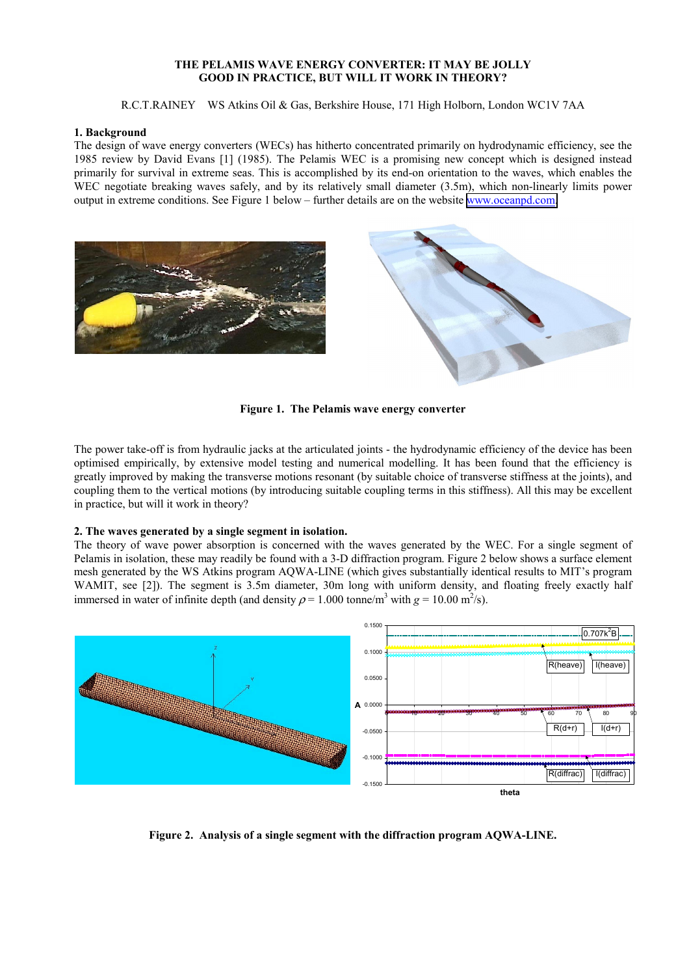# **THE PELAMIS WAVE ENERGY CONVERTER: IT MAY BE JOLLY GOOD IN PRACTICE, BUT WILL IT WORK IN THEORY?**

R.C.T.RAINEY WS Atkins Oil & Gas, Berkshire House, 171 High Holborn, London WC1V 7AA

## **1. Background**

The design of wave energy converters (WECs) has hitherto concentrated primarily on hydrodynamic efficiency, see the 1985 review by David Evans [1] (1985). The Pelamis WEC is a promising new concept which is designed instead primarily for survival in extreme seas. This is accomplished by its end-on orientation to the waves, which enables the WEC negotiate breaking waves safely, and by its relatively small diameter (3.5m), which non-linearly limits power output in extreme conditions. See Figure 1 below – further details are on the website [www.oceanpd.com.](http://www.oceanpd.com/)



**Figure 1. The Pelamis wave energy converter** 

The power take-off is from hydraulic jacks at the articulated joints - the hydrodynamic efficiency of the device has been optimised empirically, by extensive model testing and numerical modelling. It has been found that the efficiency is greatly improved by making the transverse motions resonant (by suitable choice of transverse stiffness at the joints), and coupling them to the vertical motions (by introducing suitable coupling terms in this stiffness). All this may be excellent in practice, but will it work in theory?

# **2. The waves generated by a single segment in isolation.**

The theory of wave power absorption is concerned with the waves generated by the WEC. For a single segment of Pelamis in isolation, these may readily be found with a 3-D diffraction program. Figure 2 below shows a surface element mesh generated by the WS Atkins program AQWA-LINE (which gives substantially identical results to MIT's program WAMIT, see [2]). The segment is 3.5m diameter, 30m long with uniform density, and floating freely exactly half immersed in water of infinite depth (and density  $\rho = 1.000$  tonne/m<sup>3</sup> with  $g = 10.00$  m<sup>2</sup>/s).



**Figure 2. Analysis of a single segment with the diffraction program AQWA-LINE.**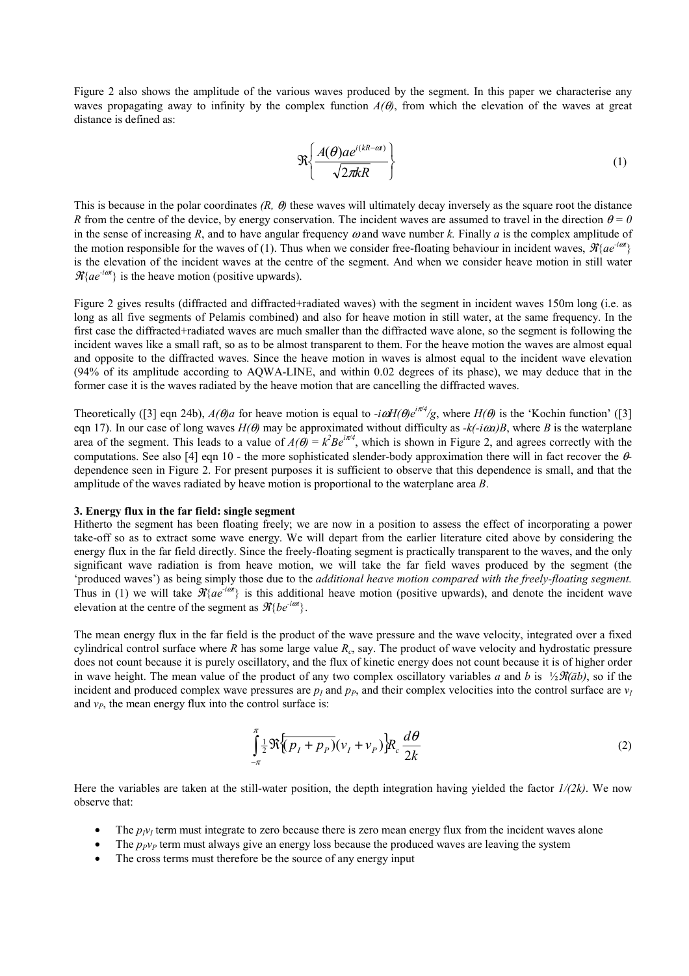Figure 2 also shows the amplitude of the various waves produced by the segment. In this paper we characterise any waves propagating away to infinity by the complex function  $A(\theta)$ , from which the elevation of the waves at great distance is defined as:

$$
\mathfrak{R}\left\{\frac{A(\theta)ae^{i(kR-\alpha)}}{\sqrt{2\pi kR}}\right\}\tag{1}
$$

This is because in the polar coordinates  $(R, \theta)$  these waves will ultimately decay inversely as the square root the distance *R* from the centre of the device, by energy conservation. The incident waves are assumed to travel in the direction  $\theta = 0$ in the sense of increasing *R*, and to have angular frequency  $\omega$  and wave number *k*. Finally *a* is the complex amplitude of the motion responsible for the waves of (1). Thus when we consider free-floating behaviour in incident waves,  $\mathcal{R}\{ae^{-i\omega t}\}$ is the elevation of the incident waves at the centre of the segment. And when we consider heave motion in still water  $\mathcal{R} \{ae^{-i\omega t}\}\$ is the heave motion (positive upwards).

Figure 2 gives results (diffracted and diffracted+radiated waves) with the segment in incident waves 150m long (i.e. as long as all five segments of Pelamis combined) and also for heave motion in still water, at the same frequency. In the first case the diffracted+radiated waves are much smaller than the diffracted wave alone, so the segment is following the incident waves like a small raft, so as to be almost transparent to them. For the heave motion the waves are almost equal and opposite to the diffracted waves. Since the heave motion in waves is almost equal to the incident wave elevation (94% of its amplitude according to AQWA-LINE, and within 0.02 degrees of its phase), we may deduce that in the former case it is the waves radiated by the heave motion that are cancelling the diffracted waves.

Theoretically ([3] eqn 24b),  $A(\theta)a$  for heave motion is equal to  $-i\omega H(\theta)e^{i\pi/4}/g$ , where  $H(\theta)$  is the 'Kochin function' ([3] eqn 17). In our case of long waves  $H(\theta)$  may be approximated without difficulty as  $-k(-i\omega\alpha)B$ , where *B* is the waterplane area of the segment. This leads to a value of  $A(\theta) = k^2 B e^{i\pi/4}$ , which is shown in Figure 2, and agrees correctly with the computations. See also [4] eqn 10 - the more sophisticated slender-body approximation there will in fact recover the θdependence seen in Figure 2. For present purposes it is sufficient to observe that this dependence is small, and that the amplitude of the waves radiated by heave motion is proportional to the waterplane area *B*.

### **3. Energy flux in the far field: single segment**

Hitherto the segment has been floating freely; we are now in a position to assess the effect of incorporating a power take-off so as to extract some wave energy. We will depart from the earlier literature cited above by considering the energy flux in the far field directly. Since the freely-floating segment is practically transparent to the waves, and the only significant wave radiation is from heave motion, we will take the far field waves produced by the segment (the ëproduced wavesí) as being simply those due to the *additional heave motion compared with the freely-floating segment.*  Thus in (1) we will take  $\mathcal{R}\{ae^{i\omega t}\}\$  is this additional heave motion (positive upwards), and denote the incident wave elevation at the centre of the segment as  $\mathcal{R} \{ be^{-i\omega t} \}.$ 

The mean energy flux in the far field is the product of the wave pressure and the wave velocity, integrated over a fixed cylindrical control surface where *R* has some large value *Rc*, say. The product of wave velocity and hydrostatic pressure does not count because it is purely oscillatory, and the flux of kinetic energy does not count because it is of higher order in wave height. The mean value of the product of any two complex oscillatory variables *a* and *b* is ½ $\mathcal{R}(\bar{a}b)$ , so if the incident and produced complex wave pressures are  $p_l$  and  $p_p$ , and their complex velocities into the control surface are  $v_l$ and  $v_p$ , the mean energy flux into the control surface is:

$$
\int_{-\pi}^{\pi} \frac{1}{2} \Re \{ (p_I + p_P)(v_I + v_P) \} R_c \frac{d\theta}{2k} \tag{2}
$$

Here the variables are taken at the still-water position, the depth integration having yielded the factor *1/(2k)*. We now observe that:

- The  $p_{IV}$  term must integrate to zero because there is zero mean energy flux from the incident waves alone
- The  $p_{pVp}$  term must always give an energy loss because the produced waves are leaving the system
- The cross terms must therefore be the source of any energy input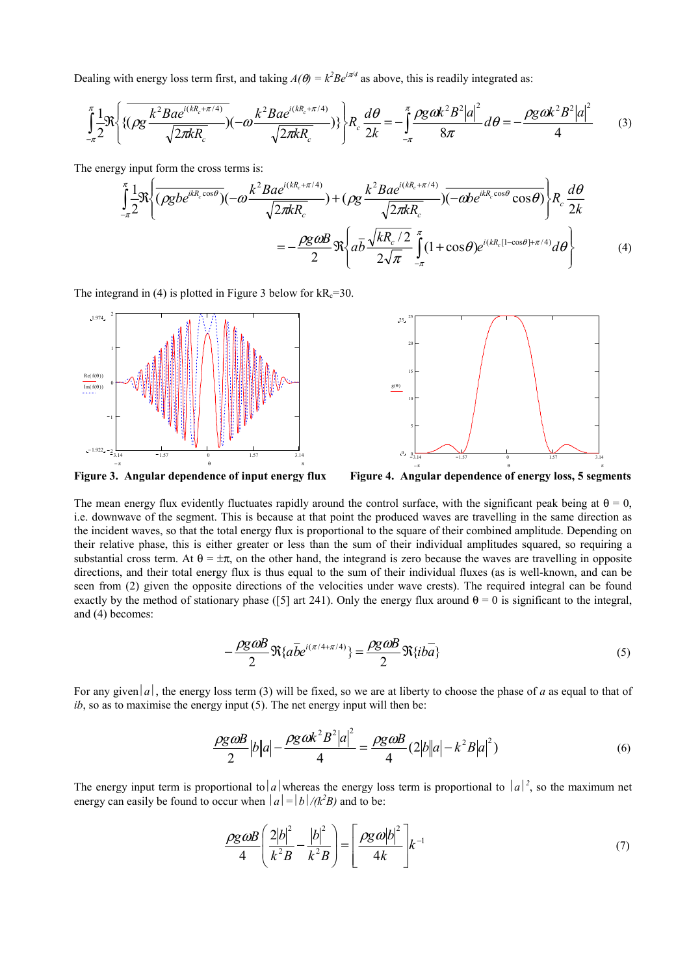Dealing with energy loss term first, and taking  $A(\theta) = k^2 B e^{i\pi/4}$  as above, this is readily integrated as:

$$
\int_{-\pi}^{\pi} \frac{1}{2} \Re \left\{ \{ \left( \rho g \frac{k^2 B a e^{i(kR_c + \pi/4)}}{\sqrt{2\pi k R_c}} \right) (-\omega \frac{k^2 B a e^{i(kR_c + \pi/4)}}{\sqrt{2\pi k R_c}}) \} \right\} R_c \frac{d\theta}{2k} = -\int_{-\pi}^{\pi} \frac{\rho g \omega k^2 B^2 |a|^2}{8\pi} d\theta = -\frac{\rho g \omega k^2 B^2 |a|^2}{4} \tag{3}
$$

The energy input form the cross terms is:

$$
\int_{-\pi}^{\pi} \frac{1}{2} \Re \left\{ \overline{(\rho g b e^{ikR_c \cos \theta})} (-\omega \frac{k^2 B a e^{i(kR_c + \pi/4)}}{\sqrt{2\pi k R_c}}) + (\rho g \frac{k^2 B a e^{i(kR_c + \pi/4)}}{\sqrt{2\pi k R_c}}) \overline{(-\omega b e^{ikR_c \cos \theta} \cos \theta)} \right\} R_c \frac{d\theta}{2k}
$$
\n
$$
= -\frac{\rho g \omega B}{2} \Re \left\{ a \overline{b} \frac{\sqrt{kR_c/2}}{2\sqrt{\pi}} \int_{-\pi}^{\pi} (1 + \cos \theta) e^{i(kR_c [1 - \cos \theta] + \pi/4)} d\theta \right\} \tag{4}
$$

The integrand in (4) is plotted in Figure 3 below for  $kR_c=30$ .



**Figure 3. Angular dependence of input energy flux Figure 4. Angular dependence of energy loss, 5 segments** 

The mean energy flux evidently fluctuates rapidly around the control surface, with the significant peak being at  $\theta = 0$ , i.e. downwave of the segment. This is because at that point the produced waves are travelling in the same direction as the incident waves, so that the total energy flux is proportional to the square of their combined amplitude. Depending on their relative phase, this is either greater or less than the sum of their individual amplitudes squared, so requiring a substantial cross term. At  $\theta = \pm \pi$ , on the other hand, the integrand is zero because the waves are travelling in opposite directions, and their total energy flux is thus equal to the sum of their individual fluxes (as is well-known, and can be seen from (2) given the opposite directions of the velocities under wave crests). The required integral can be found exactly by the method of stationary phase ([5] art 241). Only the energy flux around  $\theta = 0$  is significant to the integral, and (4) becomes:

$$
-\frac{\rho g \omega B}{2} \Re{\{a\overline{b}e^{i(\pi/4 + \pi/4)}\}} = \frac{\rho g \omega B}{2} \Re{\{ib\overline{a}\}} \tag{5}
$$

For any given |a|, the energy loss term (3) will be fixed, so we are at liberty to choose the phase of *a* as equal to that of *ib*, so as to maximise the energy input (5). The net energy input will then be:

$$
\frac{\rho g \omega B}{2} |b||a| - \frac{\rho g \omega k^2 B^2 |a|^2}{4} = \frac{\rho g \omega B}{4} (2|b||a| - k^2 B|a|^2)
$$
(6)

The energy input term is proportional to  $|a|$  whereas the energy loss term is proportional to  $|a|^2$ , so the maximum net energy can easily be found to occur when  $|a| = |b|/(k^2B)$  and to be:

$$
\frac{\rho g \omega B}{4} \left( \frac{2|b|^2}{k^2 B} - \frac{|b|^2}{k^2 B} \right) = \left[ \frac{\rho g \omega |b|^2}{4k} \right] k^{-1}
$$
\n(7)